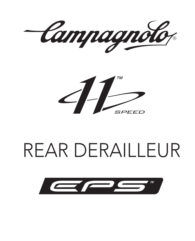Campagnolo



# REAR DERAILLEUR

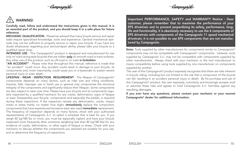Camnaanolo



# WARNING!

Carefully read, follow and understand the instructions given in this manual. It is an essential part of the product, and you should keep it in a safe place for future reference.

MECHANIC QUALIFICATION - Please be advised that many bicycle service and repair tasks require specialized knowledge, tools and experience. General mechanical aptitude may not be sufficient to properly service or repair your bicycle. If you have any doubt whatsoever regarding your service/repair ability, please take your bicycle to a qualified repair shop.

INTENDED USE - This Campagnolo® product is designed and manufactured for use only on road racing style bicycles that are ridden **only** on smooth road or track surfaces. Any other use of this product, such as off-road or on trails is forbidden.

"AN ACCIDENT" - Please note that throughout this manual, reference is made that "an accident" could occur. Any accident could result in damage to your bicycle, its components and, more importantly, could cause you or a bystander to sustain severe personal injury or even death.

LIFESPAN - WEAR - INSPECTION REQUIREMENT - The lifespan of Campagnolo® components depends on many factors, such as rider size and riding conditions. Impacts, falls, improper use or harsh use in general may compromise the structural integrity of the components and significantly reduce their lifespan. Some components are also subject to wear over time. Please have your bicycle and its components regularly inspected by a qualified mechanic for any cracks, deformation, signs of fatigue or wear. Disassembly your bicycle components and especially the pedals, is required during these inspections. If the inspection reveals any deformation, cracks, impact marks or stress marks, no matter how slight, **immediately** replace the component; components that have experienced excessive wear also need immediate replacement. The frequency of inspection depends on many factors; check with your authorized representative of Campagnolo S.r.l. to select a schedule that is best for you. If you weigh 82 kg/180 lbs or more, you must be especially vigilant and have your bicycle inspected more frequently (than someone weighting less than 82 kg/180 lbs) for any evidence of cracks, deformation, or other signs of fatigue or stress. Check with your mechanic to discuss whether the components you selected are suitable for your use, and to determine the frequency of inspections.

Important PERFORMANCE, SAFETY and WARRANTY Notice - Dear customer, please remember that to maximise the performance of your EPS drivetrain and to prevent jeopardising its safety, performance, longlife and functionality, it is absolutely necessary to use the 6 components of EPS drivetrain with components of the Campagnolo 11 speed mechanical drivetrain; it is not possible to use EPS components that are not manufactured by Campagnolo.

Note: Tools supplied by other manufacturers for components similar to Campagnolo® components may not be compatible with Campagnolo® components. Likewise, tools supplied by Campagnolo S.r.l. may not be compatible with components supplied by other manufacturers. Always check with your mechanic or the tool manufacturer to insure compatibility before using tools supplied by one manufacturer on components supplied by another.

*The user of this Campagnolo® product expressly recognizes that there are risks inherent in bicycle riding, including but not limited to the risk that a component of the bicycle can fail, resulting in an accident, personal injury or death. By his purchase and use of this Campagnolo® product, the user expressly, voluntarily and knowingly accepts and/ or assumes these risks and agrees to hold Campagnolo S.r.l. harmless against any resulting damages.*

If you ever have any questions, please contact your mechanic or your nearest Campagnolo® dealer for additional information.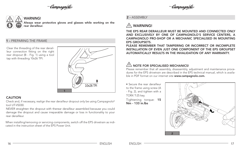-Campagnolo<sub>l</sub>





WARNING!

Always wear protective gloves and glasses while working on the rear derailleur.

### 1 - PREPARING THE FRAME

Clear the threading of the rear derailleur connection fitting on the right rear dropout (B - Fig. 1) using a tool tap with threading 10x26 TPI.



### CAUTION

Check and, if necessary, realign the rear derailleur dropout only be using Campagnolo® tool UT-VS030.

NEVER straighten the dropout with therear derailleur assembled because you could damage the dropout and cause irreparable damage or loss in functionality to your rear derailleur.

When installing/removing or servicing components, switch off the EPS drivetrain as indicated in the instruction sheet of the EPS Power Unit.

# 2 - ASSEMBLY

# $\land$  WARNING!

THE EPS REAR DERAILLEUR MUST BE MOUNTED AND CONNECTED ONLY AND EXCLUSIVELY BY ONE OF CAMPAGNOLO'S SERVICE CENTERS, A CAMPAGNOLO PRO-SHOP OR A MECHANIC SPECIALISED IN MOUNTING EPS GROUPSETS.

PLEASE REMEMBER THAT TAMPERING OR INCORRECT OR INCOMPLETE INSTALLATION OF EVEN JUST ONE COMPONENT OF THE EPS GROUPSET AUTOMATICALLY RESULTS IN THE INVALIDATION OF ANY WARRANTY.

# $\left\langle \cdot\right\rangle$  NOTE FOR SPECIALISED MECHANICS!

Please remember that all assembly, disassembly, adjustment and maintenance procedures for the EPS drivetrain are described in the EPS technical manual, which is available in PDF format on our internet site www.campagnolo.com.

• Secure the rear derailleur to the frame using screw (A - Fig. 2), and tighten with a TORX T-25 key. Tightening torque: 15 Nm - 133 in.lbs

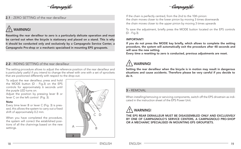-Campagnolo<sub>l</sub>

## 2.1 - ZERO SETTING of the rear derailleur

# WARNING!

Resetting the rear derailleur to zero is a particularly delicate operation and must be carried out when the bicycle is stationary and placed on a stand. This is why it should be conducted only and exclusively by a Campagnolo Service Center, a Campagnolo Pro-shop or a mechanic specialised in mounting EPS groupsets.

# 2.2 - RIDING SETTING of the rear derailleur

The setting procedure allows to adjust the reference position of the rear derailleur and is particularly useful if you intend to change the wheel with one with a set of sprockets that are positioned differently with respect to the drop-out.

To adjust the rear derailleur, press and hold the MODE button (D - Fig.3) on the EPS controls for approximately 6 seconds until the purple LED turns on.

Adjust the position by pressing lever B or lever C on the left control (Fig. 3).

#### Note

Every time lever B or lever C (Fig. 3) is pressed, this allows the system to carry out a fixed shift of approximately 0.2 mm.

When you have completed the procedure, the system will correct the established positions of all the chainrings based on the new settings.



-Campagnolo

If the chain is perfectly centred, from the 2nd to the 10th pinion: the chain moves closer to the lower pinion by moving 3 times downwards the chain moves closer to the upper pinion by moving 3 times upwards

To save the adjustment, briefly press the MODE button located on the EPS controls (D - Fig.3).

#### IMPORTANT!

If you do not press the MODE key briefly, which allows to complete the setting procedure, the system will automatically exit the procedure after 48 seconds and will save the new setting.

Every time a resetting to zero is conducted, previous adjustments are reset.

# WARNING!

Setting the rear derailleur when the bicycle is in motion may result in dangerous situations and cause accidents. Therefore please be very careful if you decide to do it.

## 3 - REMOVAL

When installing/removing or servicing components, switch off the EPS drivetrain as indicated in the instruction sheet of the EPS Power Unit.

# WARNING!

THE EPS REAR DERAILLEUR MUST BE DISASSEMBLED ONLY AND EXCLUSIVELY BY ONE OF CAMPAGNOLO'S SERVICE CENTERS, A CAMPAGNOLO PRO-SHOP OR A MECHANIC SPECIALISED IN MOUNTING EPS GROUPSETS.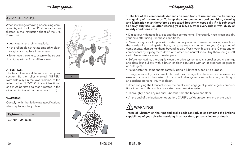-Camnaanolo

-Campagnolo<sub>l</sub>

### 4 - MAINTENANCE

When installing/removing or servicing components, switch off the EPS drivetrain as indicated in the instruction sheet of the EPS Power Unit.

- Lubricate all the joints regularly.
- If the rollers do not rotate smoothly, clean throughly and replace if necessary.
- To remove the rollers, unscrew the screws (E - Fig. 4) with a 3 mm Allen screw.

#### ATTENTION!

The two rollers are different: on the upper section, fit the roller marked "UPPER" (with side play); in the lower section, fit the roller marked "LOWER": it is unidirectional and must be fitted so that it rotates in the direction indicated by the arrows (Fig. 5).

#### **WARNING!**

Comply with the following specifications when replacing the pulleys:

#### Tightening torque

2,7 Nm - 24 in.lbs





• The life of the components depends on conditions of use and on the frequency and quality of maintenance. To keep the components in good condition, cleaning and lubrication must therefore be repeated frequently, especially if it is subjected to heavy-duty use (i.e. after washing your bicycle, after every ride in wet, dusty or muddy conditions etc.).

• Dirt seriously damage bicycles and their components. Thoroughly rinse, clean and dry your bike after using it in these conditions.

• Never spray your bicycle with water under pressure. Pressurized water, even from the nozzle of a small garden hose, can pass seals and enter into your Campagnolo® components, damaging them beyond repair. Wash your bicycle and Campagnolo® components by wiping them down with water and neutral soap. Dry them using a soft cloth. Never use abrasive or metal pads.

• Before lubricating, thoroughly clean the drive system (chain, sprocket set, chainrings and derailleur pulleys) with a brush or cloth saturated with an appropriate degreaser or detergent.

• Relubricate the components carefully using a lubricant suitable to purpose.

• Using poor-quality or incorrect lubricant may damage the chain and cause excessive wear or damage to the system. A damaged drive system can malfunction, resulting in an accident, personal injury or death.

• After applying the lubricant move the cranks and engage all possible gear combinations in order to thoroughly lubricate the entire drive system.

- Thoroughly clean any residual lubricant from the bicycle and floor.
- At the end of the lubrication operation, CAREFULLY degrease rims and brake pads.

# WARNING!

Traces of lubricant on the rims and brake pads can reduce or eliminate the braking capabilities of your bicycle, resulting in an accident, personal injury or death.